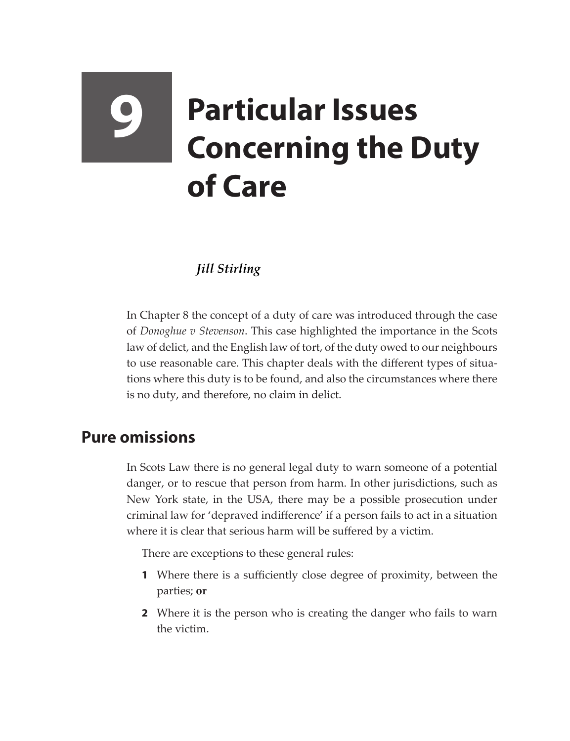# **9 Particular Issues Concerning the Duty of Care**

## *Jill Stirling*

In Chapter 8 the concept of a duty of care was introduced through the case of *Donoghue v Stevenson*. This case highlighted the importance in the Scots law of delict, and the English law of tort, of the duty owed to our neighbours to use reasonable care. This chapter deals with the different types of situations where this duty is to be found, and also the circumstances where there is no duty, and therefore, no claim in delict.

# **Pure omissions**

In Scots Law there is no general legal duty to warn someone of a potential danger, or to rescue that person from harm. In other jurisdictions, such as New York state, in the USA, there may be a possible prosecution under criminal law for 'depraved indifference' if a person fails to act in a situation where it is clear that serious harm will be suffered by a victim.

There are exceptions to these general rules:

- **1** Where there is a sufficiently close degree of proximity, between the parties; **or**
- **2** Where it is the person who is creating the danger who fails to warn the victim.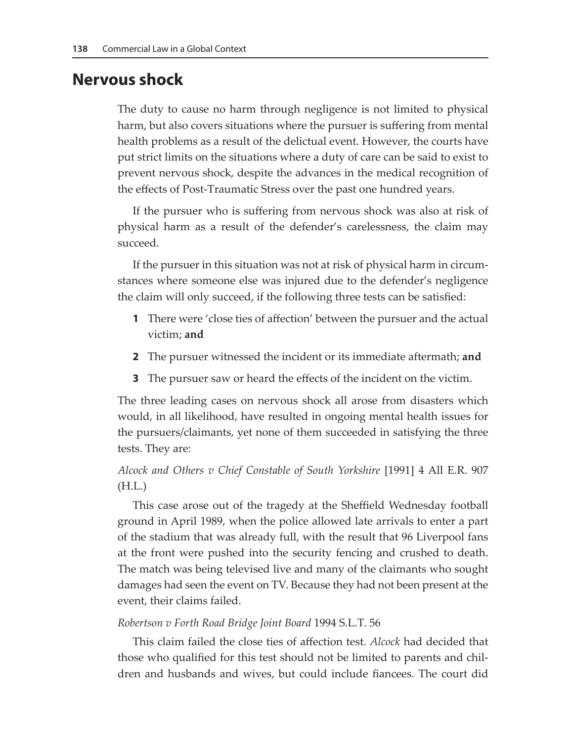### **Nervous shock**

The duty to cause no harm through negligence is not limited to physical harm, but also covers situations where the pursuer is suffering from mental health problems as a result of the delictual event. However, the courts have put strict limits on the situations where a duty of care can be said to exist to prevent nervous shock, despite the advances in the medical recognition of the effects of Post-Traumatic Stress over the past one hundred years.

If the pursuer who is suffering from nervous shock was also at risk of physical harm as a result of the defender's carelessness, the claim may succeed.

If the pursuer in this situation was not at risk of physical harm in circumstances where someone else was injured due to the defender's negligence the claim will only succeed, if the following three tests can be satisfied:

- **1** There were 'close ties of affection' between the pursuer and the actual victim; **and**
- **2** The pursuer witnessed the incident or its immediate aftermath; **and**
- **3** The pursuer saw or heard the effects of the incident on the victim.

The three leading cases on nervous shock all arose from disasters which would, in all likelihood, have resulted in ongoing mental health issues for the pursuers/claimants, yet none of them succeeded in satisfying the three tests. They are:

#### *Alcock and Others v Chief Constable of South Yorkshire* [1991] 4 All E.R. 907 (H.L.)

This case arose out of the tragedy at the Sheffield Wednesday football ground in April 1989, when the police allowed late arrivals to enter a part of the stadium that was already full, with the result that 96 Liverpool fans at the front were pushed into the security fencing and crushed to death. The match was being televised live and many of the claimants who sought damages had seen the event on TV. Because they had not been present at the event, their claims failed.

#### *Robertson v Forth Road Bridge Joint Board* 1994 S.L.T. 56

This claim failed the close ties of affection test. *Alcock* had decided that those who qualified for this test should not be limited to parents and children and husbands and wives, but could include fiancees. The court did